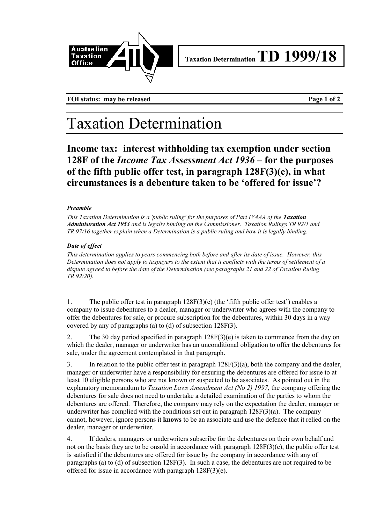

**FOI status:** may be released **Page 1 of 2** 

## Taxation Determination

**Income tax: interest withholding tax exemption under section 128F of the** *Income Tax Assessment Act 1936* **– for the purposes of the fifth public offer test, in paragraph 128F(3)(e), in what circumstances is a debenture taken to be 'offered for issue'?**

## *Preamble*

*This Taxation Determination is a 'public ruling' for the purposes of Part IVAAA of the Taxation Administration Act 1953 and is legally binding on the Commissioner. Taxation Rulings TR 92/1 and TR 97/16 together explain when a Determination is a public ruling and how it is legally binding.*

## *Date of effect*

*This determination applies to years commencing both before and after its date of issue. However, this Determination does not apply to taxpayers to the extent that it conflicts with the terms of settlement of a dispute agreed to before the date of the Determination (see paragraphs 21 and 22 of Taxation Ruling TR 92/20).*

1. The public offer test in paragraph 128F(3)(e) (the 'fifth public offer test') enables a company to issue debentures to a dealer, manager or underwriter who agrees with the company to offer the debentures for sale, or procure subscription for the debentures, within 30 days in a way covered by any of paragraphs (a) to (d) of subsection 128F(3).

2. The 30 day period specified in paragraph 128F(3)(e) is taken to commence from the day on which the dealer, manager or underwriter has an unconditional obligation to offer the debentures for sale, under the agreement contemplated in that paragraph.

3. In relation to the public offer test in paragraph 128F(3)(a), both the company and the dealer, manager or underwriter have a responsibility for ensuring the debentures are offered for issue to at least 10 eligible persons who are not known or suspected to be associates. As pointed out in the explanatory memorandum to *Taxation Laws Amendment Act (No 2) 1997*, the company offering the debentures for sale does not need to undertake a detailed examination of the parties to whom the debentures are offered. Therefore, the company may rely on the expectation the dealer, manager or underwriter has complied with the conditions set out in paragraph  $128F(3)(a)$ . The company cannot, however, ignore persons it **knows** to be an associate and use the defence that it relied on the dealer, manager or underwriter.

4. If dealers, managers or underwriters subscribe for the debentures on their own behalf and not on the basis they are to be onsold in accordance with paragraph 128F(3)(e), the public offer test is satisfied if the debentures are offered for issue by the company in accordance with any of paragraphs (a) to (d) of subsection 128F(3). In such a case, the debentures are not required to be offered for issue in accordance with paragraph 128F(3)(e).